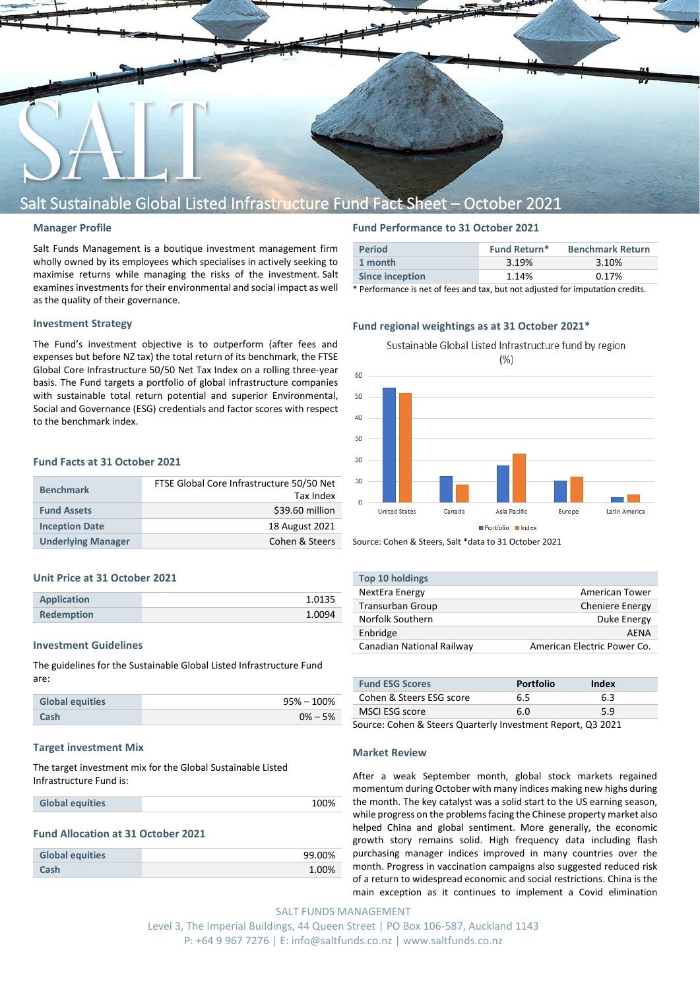

# Salt Sustainable Global Listed Infrastructure Fund Fact Sheet – October 2021

#### **Manager Profile**

Salt Funds Management is a boutique investment management firm wholly owned by its employees which specialises in actively seeking to maximise returns while managing the risks of the investment. Salt examines investments for their environmental and social impact as well as the quality of their governance.

## **Investment Strategy**

The Fund's investment objective is to outperform (after fees and expenses but before NZ tax) the total return of its benchmark, the FTSE Global Core Infrastructure 50/50 Net Tax Index on a rolling three-year basis. The Fund targets a portfolio of global infrastructure companies with sustainable total return potential and superior Environmental, Social and Governance (ESG) credentials and factor scores with respect to the benchmark index.

# **Fund Facts at 31 October 2021**

| <b>Benchmark</b>          | FTSE Global Core Infrastructure 50/50 Net<br>Tax Index |
|---------------------------|--------------------------------------------------------|
| <b>Fund Assets</b>        | \$39.60 million                                        |
| <b>Inception Date</b>     | 18 August 2021                                         |
| <b>Underlying Manager</b> | Cohen & Steers                                         |

#### **Unit Price at 31 October 2021**

| <b>Application</b> | 1.0135 |
|--------------------|--------|
| <b>Redemption</b>  | 1.0094 |

#### **Investment Guidelines**

The guidelines for the Sustainable Global Listed Infrastructure Fund are:

| <b>Global equities</b> | $95\% - 100\%$ |
|------------------------|----------------|
| Cash                   | $0\% - 5\%$    |

#### **Target investment Mix**

The target investment mix for the Global Sustainable Listed Infrastructure Fund is:

#### **Fund Allocation at 31 October 2021**

| <b>Global equities</b> | 99.00% |
|------------------------|--------|
| Cash                   | 1.00%  |

# **Fund Performance to 31 October 2021**

| <b>Period</b>   | Fund Return* | <b>Benchmark Return</b> |
|-----------------|--------------|-------------------------|
| 1 month         | 3.19%        | 3.10%                   |
| Since inception | 1.14%        | 0.17%                   |

\* Performance is net of fees and tax, but not adjusted for imputation credits.

## **Fund regional weightings as at 31 October 2021\***



Source: Cohen & Steers, Salt \*data to 31 October 2021

| Top 10 holdings           |                             |
|---------------------------|-----------------------------|
| NextEra Energy            | <b>American Tower</b>       |
| Transurban Group          | <b>Cheniere Energy</b>      |
| Norfolk Southern          | Duke Energy                 |
| Enbridge                  | <b>AFNA</b>                 |
| Canadian National Railway | American Electric Power Co. |

| <b>Fund ESG Scores</b>   | <b>Portfolio</b> | Index |
|--------------------------|------------------|-------|
| Cohen & Steers ESG score | 6.5              | 6.3   |
| MSCI ESG score           | 6.N              | 59    |

Source: Cohen & Steers Quarterly Investment Report, Q3 2021

#### **Market Review**

After a weak September month, global stock markets regained momentum during October with many indices making new highs during the month. The key catalyst was a solid start to the US earning season, while progress on the problems facing the Chinese property market also helped China and global sentiment. More generally, the economic growth story remains solid. High frequency data including flash purchasing manager indices improved in many countries over the month. Progress in vaccination campaigns also suggested reduced risk of a return to widespread economic and social restrictions. China is the main exception as it continues to implement a Covid elimination

SALT FUNDS MANAGEMENT Level 3, The Imperial Buildings, 44 Queen Street | PO Box 106-587, Auckland 1143 P: +64 9 967 7276 | E: info@saltfunds.co.nz | www.saltfunds.co.nz